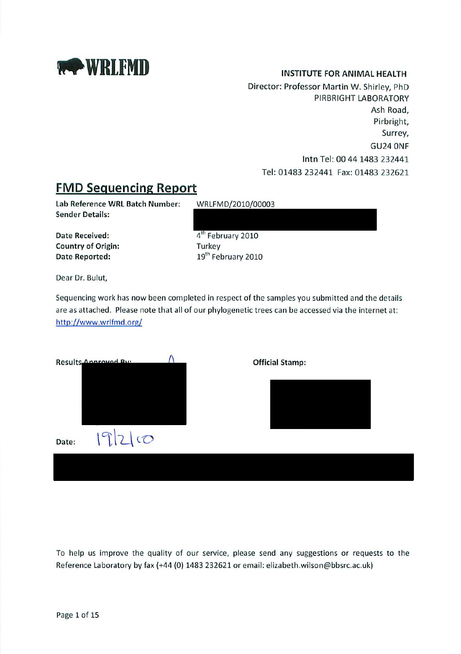

#### **INSTITUTE FOR ANIMAL HEALTH**

Director: Professor Martin W. Shirley, PhD PIRBRIGHT LABORATORY Ash Road. Pirbright, Surrey, GU24 ONF Intn Tel: 00 44 1483 232441 Tel: 01483 232441 Fax: 01483 232621

#### **FMD Sequencing Report**

Lab Reference WRL Batch Number: **Sender Details:** 

**Date Received: Country of Origin:** Date Reported:

WRLFMD/2010/00003

4<sup>th</sup> February 2010 Turkey 19<sup>th</sup> February 2010

Dear Dr. Bulut,

Sequencing work has now been completed in respect of the samples you submitted and the details are as attached. Please note that all of our phylogenetic trees can be accessed via the internet at: http://www.wrlfmd.org/

|       | Results Annrouad By: |  | <b>Official Stamp:</b> |  |
|-------|----------------------|--|------------------------|--|
|       |                      |  |                        |  |
|       |                      |  |                        |  |
| Date: | 1920                 |  |                        |  |
|       |                      |  |                        |  |

To help us improve the quality of our service, please send any suggestions or requests to the Reference Laboratory by fax (+44 (0) 1483 232621 or email: elizabeth.wilson@bbsrc.ac.uk)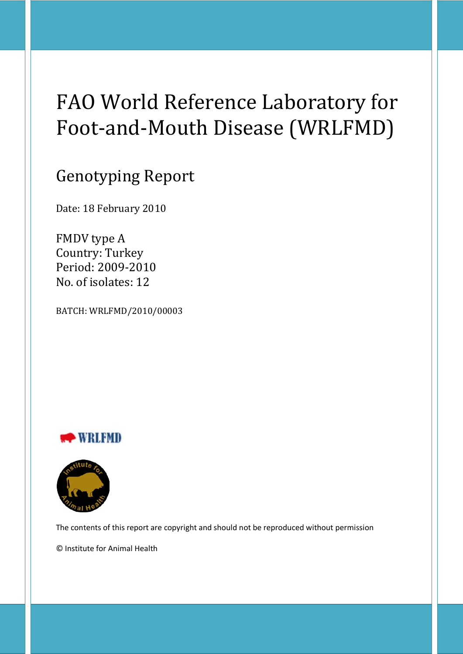# FAO World Reference Laboratory for Foot-and-Mouth Disease (WRLFMD)

## Genotyping Report

Date: 18 February 2010

FMDV type A Country: Turkey Period: 2009-2010 No. of isolates: 12

BATCH: WRLFMD/2010/00003





The contents of this report are copyright and should not be reproduced without permission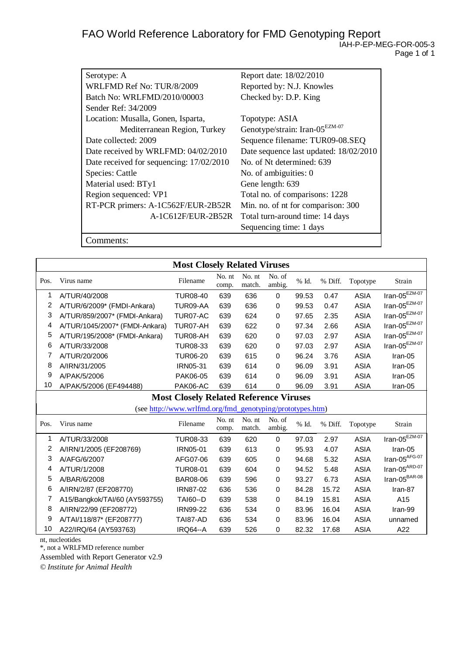| Serotype: A                              | Report date: 18/02/2010                    |
|------------------------------------------|--------------------------------------------|
| WRLFMD Ref No: TUR/8/2009                | Reported by: N.J. Knowles                  |
| Batch No: WRLFMD/2010/00003              | Checked by: D.P. King                      |
| Sender Ref: 34/2009                      |                                            |
| Location: Musalla, Gonen, Isparta,       | Topotype: ASIA                             |
| Mediterranean Region, Turkey             | Genotype/strain: Iran-05 <sup>EZM-07</sup> |
| Date collected: 2009                     | Sequence filename: TUR09-08.SEQ            |
| Date received by WRLFMD: 04/02/2010      | Date sequence last updated: 18/02/2010     |
| Date received for sequencing: 17/02/2010 | No. of Nt determined: 639                  |
| Species: Cattle                          | No. of ambiguities: 0                      |
| Material used: BTy1                      | Gene length: 639                           |
| Region sequenced: VP1                    | Total no. of comparisons: 1228             |
| RT-PCR primers: A-1C562F/EUR-2B52R       | Min. no. of nt for comparison: 300         |
| A-1C612F/EUR-2B52R                       | Total turn-around time: 14 days            |
|                                          | Sequencing time: 1 days                    |
|                                          |                                            |

Comments:

|      |                                | <b>Most Closely Related Viruses</b>                       |                 |                  |                  |       |         |             |                                  |
|------|--------------------------------|-----------------------------------------------------------|-----------------|------------------|------------------|-------|---------|-------------|----------------------------------|
| Pos. | Virus name                     | Filename                                                  | No. nt<br>comp. | No. nt<br>match. | No. of<br>ambig. | % Id. | % Diff. | Topotype    | Strain                           |
| 1    | A/TUR/40/2008                  | <b>TUR08-40</b>                                           | 639             | 636              | 0                | 99.53 | 0.47    | <b>ASIA</b> | $\text{Iran-05}^{\text{EZM-07}}$ |
| 2    | A/TUR/6/2009* (FMDI-Ankara)    | TUR09-AA                                                  | 639             | 636              | 0                | 99.53 | 0.47    | <b>ASIA</b> | $\text{Iran-05}^{\text{EZM-07}}$ |
| 3    | A/TUR/859/2007* (FMDI-Ankara)  | TUR07-AC                                                  | 639             | 624              | 0                | 97.65 | 2.35    | <b>ASIA</b> | $\text{Iran-05}^{\text{EZM-07}}$ |
| 4    | A/TUR/1045/2007* (FMDI-Ankara) | TUR07-AH                                                  | 639             | 622              | 0                | 97.34 | 2.66    | <b>ASIA</b> | Iran-05 $^{EZM-07}$              |
| 5    | A/TUR/195/2008* (FMDI-Ankara)  | TUR08-AH                                                  | 639             | 620              | 0                | 97.03 | 2.97    | <b>ASIA</b> | Iran-05 $^{EZM-07}$              |
| 6    | A/TUR/33/2008                  | <b>TUR08-33</b>                                           | 639             | 620              | 0                | 97.03 | 2.97    | <b>ASIA</b> | Iran-05 $^{EZM-07}$              |
| 7    | A/TUR/20/2006                  | <b>TUR06-20</b>                                           | 639             | 615              | 0                | 96.24 | 3.76    | <b>ASIA</b> | Iran-05                          |
| 8    | A/IRN/31/2005                  | <b>IRN05-31</b>                                           | 639             | 614              | 0                | 96.09 | 3.91    | <b>ASIA</b> | Iran-05                          |
| 9    | A/PAK/5/2006                   | PAK06-05                                                  | 639             | 614              | 0                | 96.09 | 3.91    | <b>ASIA</b> | Iran-05                          |
| 10   | A/PAK/5/2006 (EF494488)        | PAK06-AC                                                  | 639             | 614              | 0                | 96.09 | 3.91    | <b>ASIA</b> | Iran-05                          |
|      |                                | <b>Most Closely Related Reference Viruses</b>             |                 |                  |                  |       |         |             |                                  |
|      |                                | (see http://www.wrlfmd.org/fmd_genotyping/prototypes.htm) |                 |                  |                  |       |         |             |                                  |
| Pos. | Virus name                     | Filename                                                  | No. nt<br>comp. | No. nt<br>match. | No. of<br>ambig. | % Id. | % Diff. | Topotype    | Strain                           |
| 1    | A/TUR/33/2008                  | <b>TUR08-33</b>                                           | 639             | 620              | 0                | 97.03 | 2.97    | <b>ASIA</b> | Iran-05 $EZM-07$                 |
| 2    | A/IRN/1/2005 (EF208769)        | <b>IRN05-01</b>                                           | 639             | 613              | 0                | 95.93 | 4.07    | <b>ASIA</b> | Iran-05                          |
| 3    | A/AFG/6/2007                   | AFG07-06                                                  | 639             | 605              | 0                | 94.68 | 5.32    | <b>ASIA</b> | $\text{Iran-05}^{\text{AFG-07}}$ |
| 4    | A/TUR/1/2008                   | <b>TUR08-01</b>                                           | 639             | 604              | 0                | 94.52 | 5.48    | <b>ASIA</b> | Iran-05 $^{ARD-07}$              |
| 5    | A/BAR/6/2008                   | <b>BAR08-06</b>                                           | 639             | 596              | 0                | 93.27 | 6.73    | <b>ASIA</b> | $\text{Iran-05}^{\text{BAR-08}}$ |
| 6    | A/IRN/2/87 (EF208770)          | <b>IRN87-02</b>                                           | 636             | 536              | 0                | 84.28 | 15.72   | <b>ASIA</b> | Iran-87                          |
| 7    | A15/Bangkok/TAI/60 (AY593755)  | <b>TAI60--D</b>                                           | 639             | 538              | 0                | 84.19 | 15.81   | <b>ASIA</b> | A15                              |
| 8    | A/IRN/22/99 (EF208772)         | <b>IRN99-22</b>                                           | 636             | 534              | 0                | 83.96 | 16.04   | <b>ASIA</b> | Iran-99                          |
| 9    | A/TAI/118/87* (EF208777)       | TAI87-AD                                                  | 636             | 534              | 0                | 83.96 | 16.04   | <b>ASIA</b> | unnamed                          |
|      |                                |                                                           |                 |                  |                  |       |         |             |                                  |

nt, nucleotides

\*, not a WRLFMD reference number

Assembled with Report Generator v2.9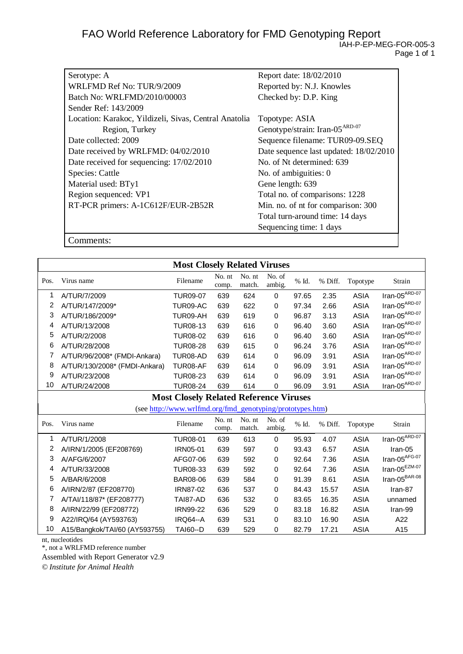| Serotype: A                                           | Report date: 18/02/2010                    |
|-------------------------------------------------------|--------------------------------------------|
| WRLFMD Ref No: TUR/9/2009                             | Reported by: N.J. Knowles                  |
| Batch No: WRLFMD/2010/00003                           | Checked by: D.P. King                      |
| Sender Ref: 143/2009                                  |                                            |
| Location: Karakoc, Yildizeli, Sivas, Central Anatolia | Topotype: ASIA                             |
| Region, Turkey                                        | Genotype/strain: Iran-05 <sup>ARD-07</sup> |
| Date collected: 2009                                  | Sequence filename: TUR09-09.SEQ            |
| Date received by WRLFMD: 04/02/2010                   | Date sequence last updated: 18/02/2010     |
| Date received for sequencing: 17/02/2010              | No. of Nt determined: 639                  |
| Species: Cattle                                       | No. of ambiguities: 0                      |
| Material used: BTy1                                   | Gene length: 639                           |
| Region sequenced: VP1                                 | Total no. of comparisons: 1228             |
| RT-PCR primers: A-1C612F/EUR-2B52R                    | Min. no. of nt for comparison: 300         |
|                                                       | Total turn-around time: 14 days            |
|                                                       | Sequencing time: 1 days                    |

Comments:

|      | <b>Most Closely Related Viruses</b> |                                                           |                 |                  |                  |       |         |             |                                  |
|------|-------------------------------------|-----------------------------------------------------------|-----------------|------------------|------------------|-------|---------|-------------|----------------------------------|
| Pos. | Virus name                          | Filename                                                  | No. nt<br>comp. | No. nt<br>match. | No. of<br>ambig. | % Id. | % Diff. | Topotype    | Strain                           |
| 1    | A/TUR/7/2009                        | <b>TUR09-07</b>                                           | 639             | 624              | 0                | 97.65 | 2.35    | <b>ASIA</b> | $Iran-05ARD-07$                  |
| 2    | A/TUR/147/2009*                     | TUR09-AC                                                  | 639             | 622              | 0                | 97.34 | 2.66    | <b>ASIA</b> | Iran-05 $^{ARD-07}$              |
| 3    | A/TUR/186/2009*                     | TUR09-AH                                                  | 639             | 619              | 0                | 96.87 | 3.13    | <b>ASIA</b> | $\text{Iran-05}^{\text{ARD-07}}$ |
| 4    | A/TUR/13/2008                       | <b>TUR08-13</b>                                           | 639             | 616              | 0                | 96.40 | 3.60    | <b>ASIA</b> | Iran-05 $^{ARD-07}$              |
| 5    | A/TUR/2/2008                        | <b>TUR08-02</b>                                           | 639             | 616              | 0                | 96.40 | 3.60    | <b>ASIA</b> | Iran-05 $^{ARD-07}$              |
| 6    | A/TUR/28/2008                       | <b>TUR08-28</b>                                           | 639             | 615              | 0                | 96.24 | 3.76    | <b>ASIA</b> | Iran-05 $^{ARD-07}$              |
| 7    | A/TUR/96/2008* (FMDI-Ankara)        | TUR08-AD                                                  | 639             | 614              | 0                | 96.09 | 3.91    | <b>ASIA</b> | Iran-05 $^{ARD-07}$              |
| 8    | A/TUR/130/2008* (FMDI-Ankara)       | TUR08-AF                                                  | 639             | 614              | 0                | 96.09 | 3.91    | <b>ASIA</b> | Iran-05 $^{ARD-07}$              |
| 9    | A/TUR/23/2008                       | <b>TUR08-23</b>                                           | 639             | 614              | 0                | 96.09 | 3.91    | <b>ASIA</b> | Iran-05 $^{ARD-07}$              |
| 10   | A/TUR/24/2008                       | <b>TUR08-24</b>                                           | 639             | 614              | 0                | 96.09 | 3.91    | <b>ASIA</b> | $Iran-05^{ARD-07}$               |
|      |                                     | <b>Most Closely Related Reference Viruses</b>             |                 |                  |                  |       |         |             |                                  |
|      |                                     | (see http://www.wrlfmd.org/fmd_genotyping/prototypes.htm) |                 |                  |                  |       |         |             |                                  |
| Pos. | Virus name                          | Filename                                                  | No. nt<br>comp. | No. nt<br>match. | No. of<br>ambig. | % Id. | % Diff. | Topotype    | Strain                           |
| 1    | A/TUR/1/2008                        | <b>TUR08-01</b>                                           | 639             | 613              | 0                | 95.93 | 4.07    | <b>ASIA</b> | $Iran-05^{ARD-07}$               |
| 2    | A/IRN/1/2005 (EF208769)             | IRN05-01                                                  | 639             | 597              | 0                | 93.43 | 6.57    | <b>ASIA</b> | Iran-05                          |
| 3    | A/AFG/6/2007                        | AFG07-06                                                  | 639             | 592              | 0                | 92.64 | 7.36    | <b>ASIA</b> | $\text{Iran-05}^{\text{AFG-07}}$ |
| 4    | A/TUR/33/2008                       | <b>TUR08-33</b>                                           | 639             | 592              | 0                | 92.64 | 7.36    | <b>ASIA</b> | Iran-05 $^{EZM-07}$              |
| 5    | A/BAR/6/2008                        | <b>BAR08-06</b>                                           | 639             | 584              | 0                | 91.39 | 8.61    | <b>ASIA</b> | Iran-05 $^{BAR-08}$              |
| 6    | A/IRN/2/87 (EF208770)               | <b>IRN87-02</b>                                           | 636             | 537              | 0                | 84.43 | 15.57   | <b>ASIA</b> | Iran-87                          |
| 7    | A/TAI/118/87* (EF208777)            | TAI87-AD                                                  | 636             | 532              | 0                | 83.65 | 16.35   | <b>ASIA</b> | unnamed                          |
| 8    | A/IRN/22/99 (EF208772)              | <b>IRN99-22</b>                                           | 636             | 529              | 0                | 83.18 | 16.82   | <b>ASIA</b> | Iran-99                          |
| 9    | A22/IRQ/64 (AY593763)               | IRQ64--A                                                  | 639             | 531              | 0                | 83.10 | 16.90   | <b>ASIA</b> | A22                              |
| 10   | A15/Bangkok/TAI/60 (AY593755)       | <b>TAI60--D</b>                                           | 639             | 529              | 0                | 82.79 | 17.21   | <b>ASIA</b> | A15                              |

nt, nucleotides

\*, not a WRLFMD reference number

Assembled with Report Generator v2.9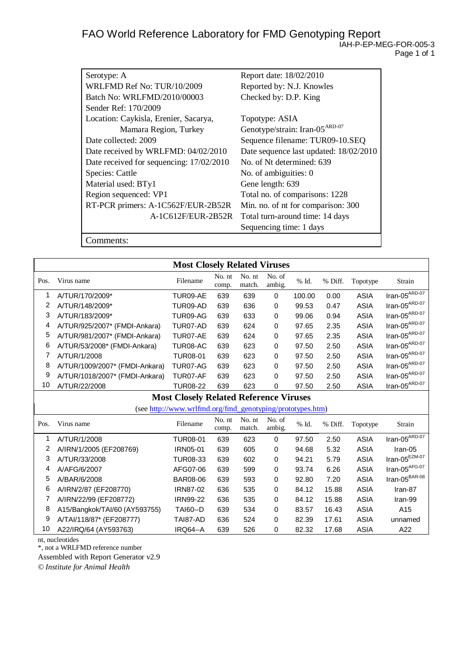| Serotype: A                              | Report date: 18/02/2010                    |
|------------------------------------------|--------------------------------------------|
| WRLFMD Ref No: TUR/10/2009               | Reported by: N.J. Knowles                  |
| Batch No: WRLFMD/2010/00003              | Checked by: D.P. King                      |
| Sender Ref: 170/2009                     |                                            |
| Location: Caykisla, Erenier, Sacarya,    | Topotype: ASIA                             |
| Mamara Region, Turkey                    | Genotype/strain: Iran-05 <sup>ARD-07</sup> |
| Date collected: 2009                     | Sequence filename: TUR09-10.SEQ            |
| Date received by WRLFMD: 04/02/2010      | Date sequence last updated: 18/02/2010     |
| Date received for sequencing: 17/02/2010 | No. of Nt determined: 639                  |
| Species: Cattle                          | No. of ambiguities: 0                      |
| Material used: BTy1                      | Gene length: 639                           |
| Region sequenced: VP1                    | Total no. of comparisons: 1228             |
| RT-PCR primers: A-1C562F/EUR-2B52R       | Min. no. of nt for comparison: 300         |
| A-1C612F/EUR-2B52R                       | Total turn-around time: 14 days            |
|                                          | Sequencing time: 1 days                    |
|                                          |                                            |

Comments:

| Pos. | Virus name                     | <b>Most Closely Related Viruses</b><br>Filename           | No. nt<br>comp. | No. nt<br>match. | No. of<br>ambig. | % Id.  | % Diff. | Topotype    | Strain                           |
|------|--------------------------------|-----------------------------------------------------------|-----------------|------------------|------------------|--------|---------|-------------|----------------------------------|
| 1    | A/TUR/170/2009*                | TUR09-AE                                                  | 639             | 639              | $\Omega$         | 100.00 | 0.00    | <b>ASIA</b> | $Iran-05ARD-07$                  |
| 2    | A/TUR/148/2009*                | TUR09-AD                                                  | 639             | 636              | 0                | 99.53  | 0.47    | <b>ASIA</b> | $\text{Iran-05}^{\text{ARD-07}}$ |
| 3    | A/TUR/183/2009*                | TUR09-AG                                                  | 639             | 633              | 0                | 99.06  | 0.94    | <b>ASIA</b> | $\text{Iran-05}^{\text{ARD-07}}$ |
| 4    | A/TUR/925/2007* (FMDI-Ankara)  | TUR07-AD                                                  | 639             | 624              | 0                | 97.65  | 2.35    | <b>ASIA</b> | Iran-05 $^{ARD-07}$              |
| 5    | A/TUR/981/2007* (FMDI-Ankara)  | TUR07-AE                                                  | 639             | 624              | 0                | 97.65  | 2.35    | <b>ASIA</b> | $\text{Iran-05}^{\text{ARD-07}}$ |
| 6    | A/TUR/53/2008* (FMDI-Ankara)   | TUR08-AC                                                  | 639             | 623              | 0                | 97.50  | 2.50    | <b>ASIA</b> | $\text{Iran-05}^{\text{ARD-07}}$ |
| 7    | A/TUR/1/2008                   | <b>TUR08-01</b>                                           | 639             | 623              | 0                | 97.50  | 2.50    | <b>ASIA</b> | $\text{Iran-05}^{\text{ARD-07}}$ |
| 8    | A/TUR/1009/2007* (FMDI-Ankara) | TUR07-AG                                                  | 639             | 623              | 0                | 97.50  | 2.50    | <b>ASIA</b> | $\text{Iran-05}^{\text{ARD-07}}$ |
| 9    | A/TUR/1018/2007* (FMDI-Ankara) | TUR07-AF                                                  | 639             | 623              | 0                | 97.50  | 2.50    | <b>ASIA</b> | $\text{Iran-05}^{\text{ARD-07}}$ |
| 10   | A/TUR/22/2008                  | <b>TUR08-22</b>                                           | 639             | 623              | 0                | 97.50  | 2.50    | <b>ASIA</b> | $Iran-05^{ARD-07}$               |
|      |                                | <b>Most Closely Related Reference Viruses</b>             |                 |                  |                  |        |         |             |                                  |
|      |                                | (see http://www.wrlfmd.org/fmd_genotyping/prototypes.htm) |                 |                  |                  |        |         |             |                                  |
| Pos. | Virus name                     | Filename                                                  | No. nt<br>comp. | No. nt<br>match. | No. of<br>ambig. | % Id.  | % Diff. | Topotype    | Strain                           |
| 1    | A/TUR/1/2008                   | <b>TUR08-01</b>                                           | 639             | 623              | 0                | 97.50  | 2.50    | <b>ASIA</b> | $Iran-05^{ARD-07}$               |
| 2    | A/IRN/1/2005 (EF208769)        | <b>IRN05-01</b>                                           | 639             | 605              | 0                | 94.68  | 5.32    | <b>ASIA</b> | Iran-05                          |
| 3    | A/TUR/33/2008                  | TUR08-33                                                  | 639             | 602              | 0                | 94.21  | 5.79    | <b>ASIA</b> | Iran-05 $^{EZM-07}$              |
| 4    | A/AFG/6/2007                   | AFG07-06                                                  | 639             | 599              | 0                | 93.74  | 6.26    | <b>ASIA</b> | Iran-05 $AFG-07$                 |
| 5    | A/BAR/6/2008                   | <b>BAR08-06</b>                                           | 639             | 593              | $\mathbf 0$      | 92.80  | 7.20    | <b>ASIA</b> | Iran-05 $^{BAR-08}$              |
| 6    | A/IRN/2/87 (EF208770)          | <b>IRN87-02</b>                                           | 636             | 535              | 0                | 84.12  | 15.88   | <b>ASIA</b> | Iran-87                          |
| 7    | A/IRN/22/99 (EF208772)         | <b>IRN99-22</b>                                           | 636             | 535              | 0                | 84.12  | 15.88   | <b>ASIA</b> | Iran-99                          |
| 8    | A15/Bangkok/TAI/60 (AY593755)  | <b>TAI60--D</b>                                           | 639             | 534              | 0                | 83.57  | 16.43   | <b>ASIA</b> | A <sub>15</sub>                  |
| 9    | A/TAI/118/87* (EF208777)       | TAI87-AD                                                  | 636             | 524              | 0                | 82.39  | 17.61   | <b>ASIA</b> | unnamed                          |
| 10   | A22/IRQ/64 (AY593763)          | <b>IRQ64--A</b>                                           | 639             | 526              | 0                | 82.32  | 17.68   | <b>ASIA</b> | A22                              |

nt, nucleotides

\*, not a WRLFMD reference number

Assembled with Report Generator v2.9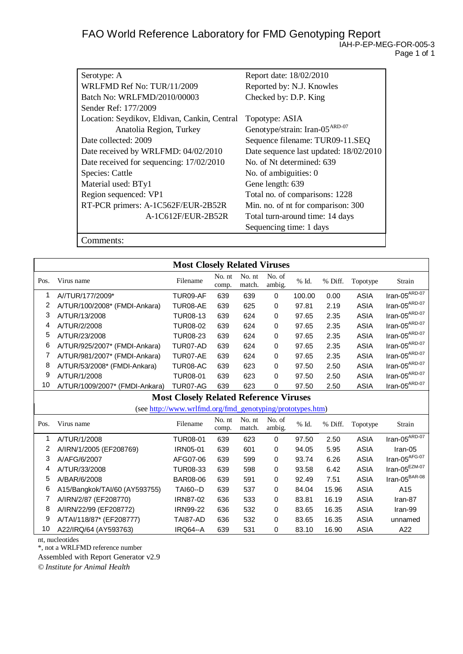| Serotype: A                                  | Report date: 18/02/2010                    |
|----------------------------------------------|--------------------------------------------|
| WRLFMD Ref No: TUR/11/2009                   | Reported by: N.J. Knowles                  |
| Batch No: WRLFMD/2010/00003                  | Checked by: D.P. King                      |
| Sender Ref: 177/2009                         |                                            |
| Location: Seydikov, Eldivan, Cankin, Central | Topotype: ASIA                             |
| Anatolia Region, Turkey                      | Genotype/strain: Iran-05 <sup>ARD-07</sup> |
| Date collected: 2009                         | Sequence filename: TUR09-11.SEQ            |
| Date received by WRLFMD: 04/02/2010          | Date sequence last updated: 18/02/2010     |
| Date received for sequencing: 17/02/2010     | No. of Nt determined: 639                  |
| Species: Cattle                              | No. of ambiguities: 0                      |
| Material used: BTy1                          | Gene length: 639                           |
| Region sequenced: VP1                        | Total no. of comparisons: 1228             |
| RT-PCR primers: A-1C562F/EUR-2B52R           | Min. no. of nt for comparison: 300         |
| A-1C612F/EUR-2B52R                           | Total turn-around time: 14 days            |
|                                              | Sequencing time: 1 days                    |

Comments:

|      |                                | <b>Most Closely Related Viruses</b>                       |                 |                  |                  |        |         |             |                                  |
|------|--------------------------------|-----------------------------------------------------------|-----------------|------------------|------------------|--------|---------|-------------|----------------------------------|
| Pos. | Virus name                     | Filename                                                  | No. nt<br>comp. | No. nt<br>match. | No. of<br>ambig. | % Id.  | % Diff. | Topotype    | Strain                           |
| 1    | A//TUR/177/2009*               | TUR09-AF                                                  | 639             | 639              | $\Omega$         | 100.00 | 0.00    | <b>ASIA</b> | $Iran-05ARD-07$                  |
| 2    | A/TUR/100/2008* (FMDI-Ankara)  | TUR08-AE                                                  | 639             | 625              | 0                | 97.81  | 2.19    | <b>ASIA</b> | $\text{Iran-05}^{\text{ARD-07}}$ |
| 3    | A/TUR/13/2008                  | <b>TUR08-13</b>                                           | 639             | 624              | 0                | 97.65  | 2.35    | <b>ASIA</b> | $\text{Iran-05}^{\text{ARD-07}}$ |
| 4    | A/TUR/2/2008                   | <b>TUR08-02</b>                                           | 639             | 624              | 0                | 97.65  | 2.35    | <b>ASIA</b> | Iran-05 $^{ARD-07}$              |
| 5    | A/TUR/23/2008                  | <b>TUR08-23</b>                                           | 639             | 624              | 0                | 97.65  | 2.35    | <b>ASIA</b> | Iran-05 $^{ARD-07}$              |
| 6    | A/TUR/925/2007* (FMDI-Ankara)  | TUR07-AD                                                  | 639             | 624              | 0                | 97.65  | 2.35    | <b>ASIA</b> | $\text{Iran-05}^{\text{ARD-07}}$ |
| 7    | A/TUR/981/2007* (FMDI-Ankara)  | TUR07-AE                                                  | 639             | 624              | 0                | 97.65  | 2.35    | <b>ASIA</b> | $\text{Iran-05}^{\text{ARD-07}}$ |
| 8    | A/TUR/53/2008* (FMDI-Ankara)   | TUR08-AC                                                  | 639             | 623              | 0                | 97.50  | 2.50    | <b>ASIA</b> | $\text{Iran-05}^{\text{ARD-07}}$ |
| 9    | A/TUR/1/2008                   | <b>TUR08-01</b>                                           | 639             | 623              | 0                | 97.50  | 2.50    | <b>ASIA</b> | $\text{Iran-05}^{\text{ARD-07}}$ |
| 10   | A/TUR/1009/2007* (FMDI-Ankara) | TUR07-AG                                                  | 639             | 623              | 0                | 97.50  | 2.50    | <b>ASIA</b> | $Iran-05^{ARD-07}$               |
|      |                                | <b>Most Closely Related Reference Viruses</b>             |                 |                  |                  |        |         |             |                                  |
|      |                                | (see http://www.wrlfmd.org/fmd_genotyping/prototypes.htm) |                 |                  |                  |        |         |             |                                  |
| Pos. | Virus name                     | Filename                                                  | No. nt<br>comp. | No. nt<br>match. | No. of<br>ambig. | % Id.  | % Diff. | Topotype    | Strain                           |
| 1    | A/TUR/1/2008                   | <b>TUR08-01</b>                                           | 639             | 623              | 0                | 97.50  | 2.50    | <b>ASIA</b> | $\text{Iran-05}^{\text{ARD-07}}$ |
| 2    | A/IRN/1/2005 (EF208769)        | <b>IRN05-01</b>                                           | 639             | 601              | 0                | 94.05  | 5.95    | <b>ASIA</b> | Iran-05                          |
| 3    | A/AFG/6/2007                   | AFG07-06                                                  | 639             | 599              | 0                | 93.74  | 6.26    | <b>ASIA</b> | $\text{Iran-05}^{\text{AFG-07}}$ |
| 4    | A/TUR/33/2008                  | <b>TUR08-33</b>                                           | 639             | 598              | 0                | 93.58  | 6.42    | <b>ASIA</b> | $\text{Iran-05}^{\text{EZM-07}}$ |
| 5    | A/BAR/6/2008                   | <b>BAR08-06</b>                                           | 639             | 591              | 0                | 92.49  | 7.51    | <b>ASIA</b> | Iran-05 $BBR-08$                 |
| 6    | A15/Bangkok/TAI/60 (AY593755)  | <b>TAI60--D</b>                                           | 639             | 537              | 0                | 84.04  | 15.96   | <b>ASIA</b> | A15                              |
| 7    | A/IRN/2/87 (EF208770)          | <b>IRN87-02</b>                                           | 636             | 533              | 0                | 83.81  | 16.19   | <b>ASIA</b> | Iran-87                          |
| 8    | A/IRN/22/99 (EF208772)         | <b>IRN99-22</b>                                           | 636             | 532              | 0                | 83.65  | 16.35   | <b>ASIA</b> | Iran-99                          |
| 9    | A/TAI/118/87* (EF208777)       | TAI87-AD                                                  | 636             | 532              | 0                | 83.65  | 16.35   | <b>ASIA</b> | unnamed                          |
| 10   | A22/IRQ/64 (AY593763)          | <b>IRQ64--A</b>                                           | 639             | 531              | 0                | 83.10  | 16.90   | <b>ASIA</b> | A22                              |

nt, nucleotides

\*, not a WRLFMD reference number

Assembled with Report Generator v2.9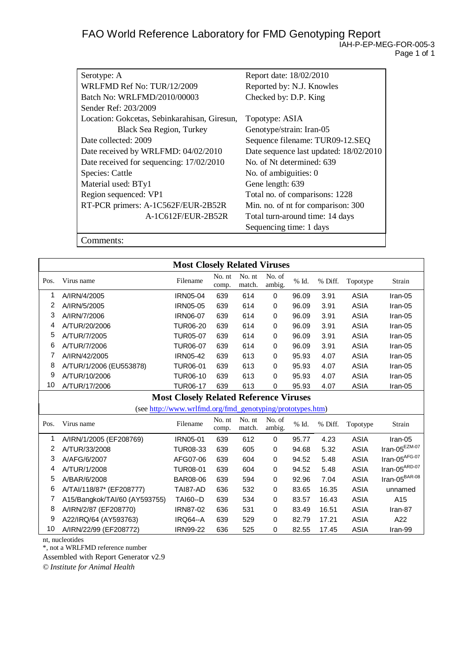| Serotype: A                                  | Report date: 18/02/2010                |
|----------------------------------------------|----------------------------------------|
| WRLFMD Ref No: TUR/12/2009                   | Reported by: N.J. Knowles              |
| Batch No: WRLFMD/2010/00003                  | Checked by: D.P. King                  |
| Sender Ref: 203/2009                         |                                        |
| Location: Gokcetas, Sebinkarahisan, Giresun, | Topotype: ASIA                         |
| <b>Black Sea Region, Turkey</b>              | Genotype/strain: Iran-05               |
| Date collected: 2009                         | Sequence filename: TUR09-12.SEQ        |
| Date received by WRLFMD: 04/02/2010          | Date sequence last updated: 18/02/2010 |
| Date received for sequencing: 17/02/2010     | No. of Nt determined: 639              |
| Species: Cattle                              | No. of ambiguities: 0                  |
| Material used: BTy1                          | Gene length: 639                       |
| Region sequenced: VP1                        | Total no. of comparisons: 1228         |
| RT-PCR primers: A-1C562F/EUR-2B52R           | Min. no. of nt for comparison: 300     |
| A-1C612F/EUR-2B52R                           | Total turn-around time: 14 days        |
|                                              | Sequencing time: 1 days                |

Comments:

|      |                               | <b>Most Closely Related Viruses</b>                       |                 |                  |                  |       |         |             |                                  |
|------|-------------------------------|-----------------------------------------------------------|-----------------|------------------|------------------|-------|---------|-------------|----------------------------------|
| Pos. | Virus name                    | Filename                                                  | No. nt<br>comp. | No. nt<br>match. | No. of<br>ambig. | % Id. | % Diff. | Topotype    | Strain                           |
| 1    | A/IRN/4/2005                  | <b>IRN05-04</b>                                           | 639             | 614              | $\mathbf 0$      | 96.09 | 3.91    | <b>ASIA</b> | Iran-05                          |
| 2    | A/IRN/5/2005                  | IRN05-05                                                  | 639             | 614              | $\mathbf 0$      | 96.09 | 3.91    | <b>ASIA</b> | Iran-05                          |
| 3    | A/IRN/7/2006                  | IRN06-07                                                  | 639             | 614              | $\mathbf 0$      | 96.09 | 3.91    | <b>ASIA</b> | Iran-05                          |
| 4    | A/TUR/20/2006                 | <b>TUR06-20</b>                                           | 639             | 614              | 0                | 96.09 | 3.91    | <b>ASIA</b> | Iran-05                          |
| 5    | A/TUR/7/2005                  | <b>TUR05-07</b>                                           | 639             | 614              | 0                | 96.09 | 3.91    | <b>ASIA</b> | Iran-05                          |
| 6    | A/TUR/7/2006                  | <b>TUR06-07</b>                                           | 639             | 614              | $\mathbf 0$      | 96.09 | 3.91    | <b>ASIA</b> | Iran-05                          |
| 7    | A/IRN/42/2005                 | <b>IRN05-42</b>                                           | 639             | 613              | 0                | 95.93 | 4.07    | <b>ASIA</b> | Iran-05                          |
| 8    | A/TUR/1/2006 (EU553878)       | <b>TUR06-01</b>                                           | 639             | 613              | 0                | 95.93 | 4.07    | <b>ASIA</b> | Iran-05                          |
| 9    | A/TUR/10/2006                 | <b>TUR06-10</b>                                           | 639             | 613              | $\mathbf 0$      | 95.93 | 4.07    | <b>ASIA</b> | Iran-05                          |
| 10   | A/TUR/17/2006                 | <b>TUR06-17</b>                                           | 639             | 613              | $\mathbf 0$      | 95.93 | 4.07    | <b>ASIA</b> | Iran-05                          |
|      |                               | <b>Most Closely Related Reference Viruses</b>             |                 |                  |                  |       |         |             |                                  |
|      |                               | (see http://www.wrlfmd.org/fmd_genotyping/prototypes.htm) |                 |                  |                  |       |         |             |                                  |
| Pos. | Virus name                    | Filename                                                  | No. nt<br>comp. | No. nt<br>match. | No. of<br>ambig. | % Id. | % Diff. | Topotype    | Strain                           |
| 1    | A/IRN/1/2005 (EF208769)       | IRN05-01                                                  | 639             | 612              | $\mathbf 0$      | 95.77 | 4.23    | <b>ASIA</b> | Iran-05                          |
| 2    | A/TUR/33/2008                 | <b>TUR08-33</b>                                           | 639             | 605              | $\mathbf 0$      | 94.68 | 5.32    | <b>ASIA</b> | Iran-05 $^{EZM-07}$              |
| 3    | A/AFG/6/2007                  | AFG07-06                                                  | 639             | 604              | $\mathbf 0$      | 94.52 | 5.48    | <b>ASIA</b> | $\text{Iran-05}^{\text{AFG-07}}$ |
| 4    | A/TUR/1/2008                  | <b>TUR08-01</b>                                           | 639             | 604              | 0                | 94.52 | 5.48    | ASIA        | Iran-05 $^{ARD-07}$              |
| 5    | A/BAR/6/2008                  | <b>BAR08-06</b>                                           | 639             | 594              | 0                | 92.96 | 7.04    | <b>ASIA</b> | Iran-05 $\mathrm{^{BAR-08}}$     |
| 6    | A/TAI/118/87* (EF208777)      | TAI87-AD                                                  | 636             | 532              | 0                | 83.65 | 16.35   | <b>ASIA</b> | unnamed                          |
| 7    | A15/Bangkok/TAI/60 (AY593755) | <b>TAI60--D</b>                                           | 639             | 534              | 0                | 83.57 | 16.43   | <b>ASIA</b> | A15                              |
| 8    | A/IRN/2/87 (EF208770)         | IRN87-02                                                  | 636             | 531              | $\mathbf 0$      | 83.49 | 16.51   | <b>ASIA</b> | Iran-87                          |
| 9    | A22/IRQ/64 (AY593763)         | IRQ64--A                                                  | 639             | 529              | $\mathbf 0$      | 82.79 | 17.21   | <b>ASIA</b> | A22                              |
| 10   | A/IRN/22/99 (EF208772)        | <b>IRN99-22</b>                                           | 636             | 525              | 0                | 82.55 | 17.45   | <b>ASIA</b> | Iran-99                          |

nt, nucleotides

\*, not a WRLFMD reference number

Assembled with Report Generator v2.9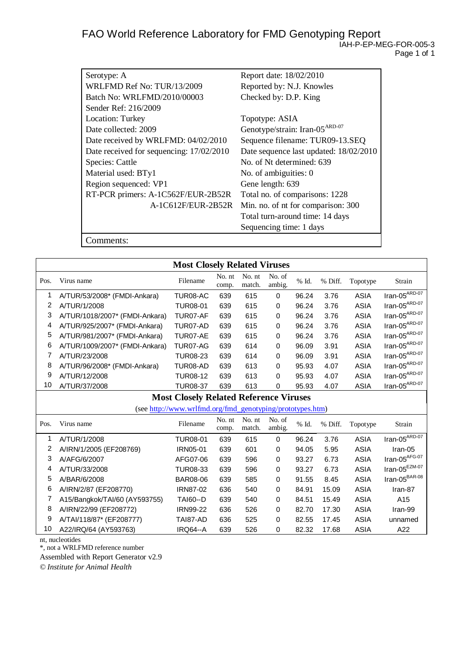| Serotype: A                              | Report date: 18/02/2010                    |
|------------------------------------------|--------------------------------------------|
| WRLFMD Ref No: TUR/13/2009               | Reported by: N.J. Knowles                  |
| Batch No: WRLFMD/2010/00003              | Checked by: D.P. King                      |
| Sender Ref: 216/2009                     |                                            |
| Location: Turkey                         | Topotype: ASIA                             |
| Date collected: 2009                     | Genotype/strain: Iran-05 <sup>ARD-07</sup> |
| Date received by WRLFMD: 04/02/2010      | Sequence filename: TUR09-13.SEQ            |
| Date received for sequencing: 17/02/2010 | Date sequence last updated: 18/02/2010     |
| Species: Cattle                          | No. of Nt determined: 639                  |
| Material used: BTy1                      | No. of ambiguities: 0                      |
| Region sequenced: VP1                    | Gene length: 639                           |
| RT-PCR primers: A-1C562F/EUR-2B52R       | Total no. of comparisons: 1228             |
| A-1C612F/EUR-2B52R                       | Min. no. of nt for comparison: 300         |
|                                          | Total turn-around time: 14 days            |
|                                          | Sequencing time: 1 days                    |
| .`omments:                               |                                            |

|                                               |                                | <b>Most Closely Related Viruses</b>                       |                 |                  |                  |       |         |             |                                  |
|-----------------------------------------------|--------------------------------|-----------------------------------------------------------|-----------------|------------------|------------------|-------|---------|-------------|----------------------------------|
| Pos.                                          | Virus name                     | Filename                                                  | No. nt<br>comp. | No. nt<br>match. | No. of<br>ambig. | % Id. | % Diff. | Topotype    | Strain                           |
| 1                                             | A/TUR/53/2008* (FMDI-Ankara)   | TUR08-AC                                                  | 639             | 615              | 0                | 96.24 | 3.76    | ASIA        | $Iran-05ARD-07$                  |
| 2                                             | A/TUR/1/2008                   | <b>TUR08-01</b>                                           | 639             | 615              | 0                | 96.24 | 3.76    | <b>ASIA</b> | $\text{Iran-05}^{\text{ARD-07}}$ |
| 3                                             | A/TUR/1018/2007* (FMDI-Ankara) | TUR07-AF                                                  | 639             | 615              | 0                | 96.24 | 3.76    | <b>ASIA</b> | $\text{Iran-05}^{\text{ARD-07}}$ |
| 4                                             | A/TUR/925/2007* (FMDI-Ankara)  | TUR07-AD                                                  | 639             | 615              | 0                | 96.24 | 3.76    | <b>ASIA</b> | $\text{Iran-05}^{\text{ARD-07}}$ |
| 5                                             | A/TUR/981/2007* (FMDI-Ankara)  | TUR07-AE                                                  | 639             | 615              | 0                | 96.24 | 3.76    | <b>ASIA</b> | $\text{Iran-05}^{\text{ARD-07}}$ |
| 6                                             | A/TUR/1009/2007* (FMDI-Ankara) | TUR07-AG                                                  | 639             | 614              | 0                | 96.09 | 3.91    | <b>ASIA</b> | $\text{Iran-05}^{\text{ARD-07}}$ |
| 7                                             | A/TUR/23/2008                  | <b>TUR08-23</b>                                           | 639             | 614              | 0                | 96.09 | 3.91    | <b>ASIA</b> | $\text{Iran-05}^{\text{ARD-07}}$ |
| 8                                             | A/TUR/96/2008* (FMDI-Ankara)   | TUR08-AD                                                  | 639             | 613              | 0                | 95.93 | 4.07    | <b>ASIA</b> | $\text{Iran-05}^{\text{ARD-07}}$ |
| 9                                             | A/TUR/12/2008                  | <b>TUR08-12</b>                                           | 639             | 613              | 0                | 95.93 | 4.07    | <b>ASIA</b> | $\text{Iran-05}^{\text{ARD-07}}$ |
| 10                                            | A/TUR/37/2008                  | <b>TUR08-37</b>                                           | 639             | 613              | 0                | 95.93 | 4.07    | <b>ASIA</b> | $Iran-05^{ARD-07}$               |
| <b>Most Closely Related Reference Viruses</b> |                                |                                                           |                 |                  |                  |       |         |             |                                  |
|                                               |                                | (see http://www.wrlfmd.org/fmd_genotyping/prototypes.htm) |                 |                  |                  |       |         |             |                                  |
| Pos.                                          | Virus name                     | Filename                                                  | No. nt<br>comp. | No. nt<br>match. | No. of<br>ambig. | % Id. | % Diff. | Topotype    | Strain                           |
| 1                                             | A/TUR/1/2008                   | <b>TUR08-01</b>                                           | 639             | 615              | 0                | 96.24 | 3.76    | <b>ASIA</b> | $Iran-05^{ARD-07}$               |
| 2                                             | A/IRN/1/2005 (EF208769)        | IRN05-01                                                  | 639             | 601              | 0                | 94.05 | 5.95    | <b>ASIA</b> | Iran-05                          |
| 3                                             | A/AFG/6/2007                   | AFG07-06                                                  | 639             | 596              | 0                | 93.27 | 6.73    | <b>ASIA</b> | Iran-05 $AFG-07$                 |
| 4                                             | A/TUR/33/2008                  | TUR08-33                                                  | 639             | 596              | 0                | 93.27 | 6.73    | <b>ASIA</b> | $\text{Iran-05}^{\text{EZM-07}}$ |
| 5                                             | A/BAR/6/2008                   | <b>BAR08-06</b>                                           | 639             | 585              | 0                | 91.55 | 8.45    | <b>ASIA</b> | Iran-05 $^{BAR-08}$              |
| 6                                             | A/IRN/2/87 (EF208770)          | <b>IRN87-02</b>                                           | 636             | 540              | 0                | 84.91 | 15.09   | <b>ASIA</b> | Iran-87                          |
| 7                                             | A15/Bangkok/TAI/60 (AY593755)  | <b>TAI60--D</b>                                           | 639             | 540              | 0                | 84.51 | 15.49   | <b>ASIA</b> | A15                              |
| 8                                             | A/IRN/22/99 (EF208772)         | <b>IRN99-22</b>                                           | 636             | 526              | 0                | 82.70 | 17.30   | <b>ASIA</b> | Iran-99                          |
| 9                                             | A/TAI/118/87* (EF208777)       | TAI87-AD                                                  | 636             | 525              | 0                | 82.55 | 17.45   | <b>ASIA</b> | unnamed                          |
| 10                                            | A22/IRQ/64 (AY593763)          | IRQ64--A                                                  | 639             | 526              | 0                | 82.32 | 17.68   | <b>ASIA</b> | A22                              |

nt, nucleotides

\*, not a WRLFMD reference number

Assembled with Report Generator v2.9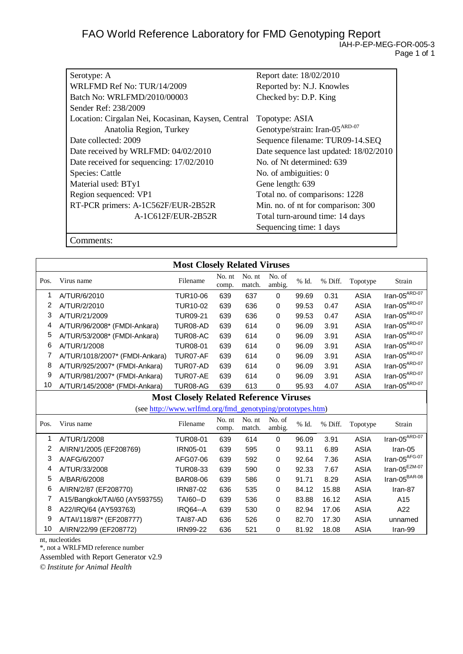| Serotype: A                                        | Report date: 18/02/2010                    |
|----------------------------------------------------|--------------------------------------------|
| WRLFMD Ref No: TUR/14/2009                         | Reported by: N.J. Knowles                  |
|                                                    |                                            |
| Batch No: WRLFMD/2010/00003                        | Checked by: D.P. King                      |
| Sender Ref: 238/2009                               |                                            |
| Location: Cirgalan Nei, Kocasinan, Kaysen, Central | Topotype: ASIA                             |
| Anatolia Region, Turkey                            | Genotype/strain: Iran-05 <sup>ARD-07</sup> |
| Date collected: 2009                               | Sequence filename: TUR09-14.SEQ            |
| Date received by WRLFMD: 04/02/2010                | Date sequence last updated: 18/02/2010     |
| Date received for sequencing: 17/02/2010           | No. of Nt determined: 639                  |
| Species: Cattle                                    | No. of ambiguities: 0                      |
| Material used: BTy1                                | Gene length: 639                           |
| Region sequenced: VP1                              | Total no. of comparisons: 1228             |
| RT-PCR primers: A-1C562F/EUR-2B52R                 | Min. no. of nt for comparison: 300         |
| A-1C612F/EUR-2B52R                                 | Total turn-around time: 14 days            |
|                                                    | Sequencing time: 1 days                    |

Comments:

|                                               |                                | <b>Most Closely Related Viruses</b>                       |                 |                  |                  |       |         |             |                                  |
|-----------------------------------------------|--------------------------------|-----------------------------------------------------------|-----------------|------------------|------------------|-------|---------|-------------|----------------------------------|
| Pos.                                          | Virus name                     | Filename                                                  | No. nt<br>comp. | No. nt<br>match. | No. of<br>ambig. | % Id. | % Diff. | Topotype    | Strain                           |
| 1                                             | A/TUR/6/2010                   | <b>TUR10-06</b>                                           | 639             | 637              | 0                | 99.69 | 0.31    | <b>ASIA</b> | $Iran-05^{ARD-07}$               |
| 2                                             | A/TUR/2/2010                   | <b>TUR10-02</b>                                           | 639             | 636              | 0                | 99.53 | 0.47    | <b>ASIA</b> | $\text{Iran-05}^{\text{ARD-07}}$ |
| 3                                             | A/TUR/21/2009                  | <b>TUR09-21</b>                                           | 639             | 636              | 0                | 99.53 | 0.47    | <b>ASIA</b> | $\text{Iran-05}^{\text{ARD-07}}$ |
| 4                                             | A/TUR/96/2008* (FMDI-Ankara)   | TUR08-AD                                                  | 639             | 614              | 0                | 96.09 | 3.91    | <b>ASIA</b> | Iran-05 $^{ARD-07}$              |
| 5                                             | A/TUR/53/2008* (FMDI-Ankara)   | TUR08-AC                                                  | 639             | 614              | 0                | 96.09 | 3.91    | <b>ASIA</b> | Iran-05 $^{ARD-07}$              |
| 6                                             | A/TUR/1/2008                   | <b>TUR08-01</b>                                           | 639             | 614              | 0                | 96.09 | 3.91    | <b>ASIA</b> | $\text{Iran-05}^{\text{ARD-07}}$ |
| 7                                             | A/TUR/1018/2007* (FMDI-Ankara) | TUR07-AF                                                  | 639             | 614              | 0                | 96.09 | 3.91    | <b>ASIA</b> | Iran-05 $^{ARD-07}$              |
| 8                                             | A/TUR/925/2007* (FMDI-Ankara)  | TUR07-AD                                                  | 639             | 614              | 0                | 96.09 | 3.91    | <b>ASIA</b> | Iran-05 $^{ARD-07}$              |
| 9                                             | A/TUR/981/2007* (FMDI-Ankara)  | TUR07-AE                                                  | 639             | 614              | 0                | 96.09 | 3.91    | <b>ASIA</b> | $\text{Iran-05}^{\text{ARD-07}}$ |
| 10                                            | A/TUR/145/2008* (FMDI-Ankara)  | TUR08-AG                                                  | 639             | 613              | 0                | 95.93 | 4.07    | <b>ASIA</b> | $Iran-05^{ARD-07}$               |
| <b>Most Closely Related Reference Viruses</b> |                                |                                                           |                 |                  |                  |       |         |             |                                  |
|                                               |                                | (see http://www.wrlfmd.org/fmd_genotyping/prototypes.htm) |                 |                  |                  |       |         |             |                                  |
| Pos.                                          | Virus name                     | Filename                                                  | No. nt<br>comp. | No. nt<br>match. | No. of<br>ambig. | % Id. | % Diff. | Topotype    | Strain                           |
| 1                                             | A/TUR/1/2008                   | <b>TUR08-01</b>                                           | 639             | 614              | 0                | 96.09 | 3.91    | <b>ASIA</b> | $\text{Iran-05}^{\text{ARD-07}}$ |
| 2                                             | A/IRN/1/2005 (EF208769)        | <b>IRN05-01</b>                                           | 639             | 595              | $\mathbf 0$      | 93.11 | 6.89    | <b>ASIA</b> | Iran-05                          |
| 3                                             | A/AFG/6/2007                   | AFG07-06                                                  | 639             | 592              | 0                | 92.64 | 7.36    | <b>ASIA</b> | $\text{Iran-05}^{\text{AFG-07}}$ |
| 4                                             | A/TUR/33/2008                  | <b>TUR08-33</b>                                           | 639             | 590              | 0                | 92.33 | 7.67    | <b>ASIA</b> | Iran-05 $^{EZM-07}$              |
| 5                                             | A/BAR/6/2008                   | <b>BAR08-06</b>                                           | 639             | 586              | 0                | 91.71 | 8.29    | <b>ASIA</b> | $\text{Iran-05}^{\text{BAR-08}}$ |
| 6                                             | A/IRN/2/87 (EF208770)          | <b>IRN87-02</b>                                           | 636             | 535              | 0                | 84.12 | 15.88   | <b>ASIA</b> | Iran-87                          |
| 7                                             | A15/Bangkok/TAI/60 (AY593755)  | <b>TAI60--D</b>                                           | 639             | 536              | 0                | 83.88 | 16.12   | <b>ASIA</b> | A15                              |
| 8                                             | A22/IRQ/64 (AY593763)          | IRQ64--A                                                  | 639             | 530              | 0                | 82.94 | 17.06   | <b>ASIA</b> | A22                              |
| 9                                             | A/TAI/118/87* (EF208777)       | TAI87-AD                                                  | 636             | 526              | 0                | 82.70 | 17.30   | <b>ASIA</b> | unnamed                          |
| 10                                            | A/IRN/22/99 (EF208772)         | <b>IRN99-22</b>                                           | 636             | 521              | 0                | 81.92 | 18.08   | <b>ASIA</b> | Iran-99                          |

nt, nucleotides

\*, not a WRLFMD reference number

Assembled with Report Generator v2.9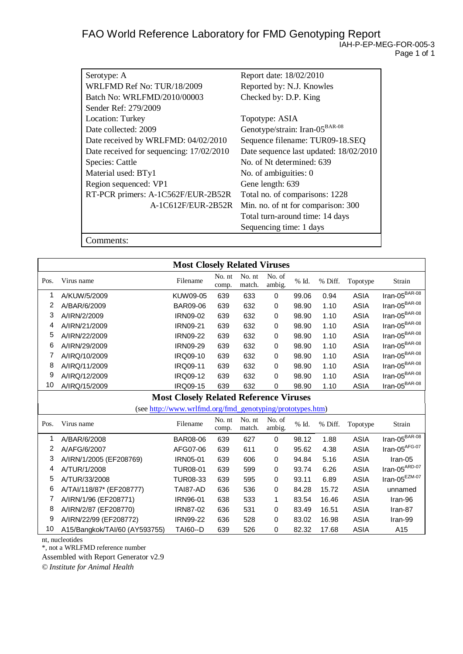| Serotype: A                              | Report date: 18/02/2010                    |
|------------------------------------------|--------------------------------------------|
| WRLFMD Ref No: TUR/18/2009               | Reported by: N.J. Knowles                  |
| Batch No: WRLFMD/2010/00003              | Checked by: D.P. King                      |
| Sender Ref: 279/2009                     |                                            |
| Location: Turkey                         | Topotype: ASIA                             |
| Date collected: 2009                     | Genotype/strain: Iran-05 <sup>BAR-08</sup> |
| Date received by WRLFMD: 04/02/2010      | Sequence filename: TUR09-18.SEQ            |
| Date received for sequencing: 17/02/2010 | Date sequence last updated: 18/02/2010     |
| Species: Cattle                          | No. of Nt determined: 639                  |
| Material used: BTy1                      | No. of ambiguities: 0                      |
| Region sequenced: VP1                    | Gene length: 639                           |
| RT-PCR primers: A-1C562F/EUR-2B52R       | Total no. of comparisons: 1228             |
| A-1C612F/EUR-2B52R                       | Min. no. of nt for comparison: 300         |
|                                          | Total turn-around time: 14 days            |
|                                          | Sequencing time: 1 days                    |
| Comments:                                |                                            |

|                                               | <b>Most Closely Related Viruses</b> |                                                           |                 |                  |                  |       |         |             |                                  |  |
|-----------------------------------------------|-------------------------------------|-----------------------------------------------------------|-----------------|------------------|------------------|-------|---------|-------------|----------------------------------|--|
| Pos.                                          | Virus name                          | Filename                                                  | No. nt<br>comp. | No. nt<br>match. | No. of<br>ambig. | % Id. | % Diff. | Topotype    | Strain                           |  |
| 1                                             | A/KUW/5/2009                        | KUW09-05                                                  | 639             | 633              | $\mathbf 0$      | 99.06 | 0.94    | <b>ASIA</b> | Iran-05 $\overline{B^{BAR-08}}$  |  |
| 2                                             | A/BAR/6/2009                        | BAR09-06                                                  | 639             | 632              | 0                | 98.90 | 1.10    | <b>ASIA</b> | Iran-05 $^{BAR-08}$              |  |
| 3                                             | A/IRN/2/2009                        | IRN09-02                                                  | 639             | 632              | 0                | 98.90 | 1.10    | <b>ASIA</b> | Iran-05 $^{BAR-08}$              |  |
| 4                                             | A/IRN/21/2009                       | <b>IRN09-21</b>                                           | 639             | 632              | 0                | 98.90 | 1.10    | <b>ASIA</b> | Iran-05 $^{BAR-08}$              |  |
| 5                                             | A/IRN/22/2009                       | <b>IRN09-22</b>                                           | 639             | 632              | 0                | 98.90 | 1.10    | <b>ASIA</b> | Iran-05 $^{BAR-08}$              |  |
| 6                                             | A/IRN/29/2009                       | <b>IRN09-29</b>                                           | 639             | 632              | 0                | 98.90 | 1.10    | <b>ASIA</b> | Iran-05 $^{BAR-08}$              |  |
| 7                                             | A/IRQ/10/2009                       | IRQ09-10                                                  | 639             | 632              | 0                | 98.90 | 1.10    | <b>ASIA</b> | $\text{Iran-05}^{\text{BAR-08}}$ |  |
| 8                                             | A/IRQ/11/2009                       | IRQ09-11                                                  | 639             | 632              | 0                | 98.90 | 1.10    | <b>ASIA</b> | Iran-05 $^{BAR-08}$              |  |
| 9                                             | A/IRQ/12/2009                       | IRQ09-12                                                  | 639             | 632              | 0                | 98.90 | 1.10    | <b>ASIA</b> | Iran-05 $^{BAR-08}$              |  |
| 10                                            | A/IRQ/15/2009                       | IRQ09-15                                                  | 639             | 632              | 0                | 98.90 | 1.10    | <b>ASIA</b> | $Iran-05^{BAR-08}$               |  |
| <b>Most Closely Related Reference Viruses</b> |                                     |                                                           |                 |                  |                  |       |         |             |                                  |  |
|                                               |                                     | (see http://www.wrlfmd.org/fmd_genotyping/prototypes.htm) |                 |                  |                  |       |         |             |                                  |  |
| Pos.                                          | Virus name                          | Filename                                                  | No. nt<br>comp. | No. nt<br>match. | No. of<br>ambig. | % Id. | % Diff. | Topotype    | Strain                           |  |
| 1                                             | A/BAR/6/2008                        | <b>BAR08-06</b>                                           | 639             | 627              | 0                | 98.12 | 1.88    | <b>ASIA</b> | $Iran-05^{BAR-08}$               |  |
| 2                                             | A/AFG/6/2007                        | AFG07-06                                                  | 639             | 611              | 0                | 95.62 | 4.38    | <b>ASIA</b> | $\text{Iran-05}^{\text{AFG-07}}$ |  |
| 3                                             | A/IRN/1/2005 (EF208769)             | IRN05-01                                                  | 639             | 606              | 0                | 94.84 | 5.16    | <b>ASIA</b> | Iran-05                          |  |
| 4                                             | A/TUR/1/2008                        | <b>TUR08-01</b>                                           | 639             | 599              | 0                | 93.74 | 6.26    | <b>ASIA</b> | Iran-05 $^{ARD-07}$              |  |
| 5                                             | A/TUR/33/2008                       | <b>TUR08-33</b>                                           | 639             | 595              | 0                | 93.11 | 6.89    | <b>ASIA</b> | Iran-05 $^{EZM-07}$              |  |
| 6                                             | A/TAI/118/87* (EF208777)            | TAI87-AD                                                  | 636             | 536              | 0                | 84.28 | 15.72   | <b>ASIA</b> | unnamed                          |  |
| 7                                             | A/IRN/1/96 (EF208771)               | IRN96-01                                                  | 638             | 533              | 1                | 83.54 | 16.46   | <b>ASIA</b> | Iran-96                          |  |
| 8                                             | A/IRN/2/87 (EF208770)               | IRN87-02                                                  | 636             | 531              | 0                | 83.49 | 16.51   | <b>ASIA</b> | Iran-87                          |  |
| 9                                             | A/IRN/22/99 (EF208772)              | <b>IRN99-22</b>                                           | 636             | 528              | 0                | 83.02 | 16.98   | <b>ASIA</b> | Iran-99                          |  |
| 10                                            | A15/Bangkok/TAI/60 (AY593755)       | <b>TAI60--D</b>                                           | 639             | 526              | 0                | 82.32 | 17.68   | <b>ASIA</b> | A15                              |  |

nt, nucleotides

\*, not a WRLFMD reference number

Assembled with Report Generator v2.9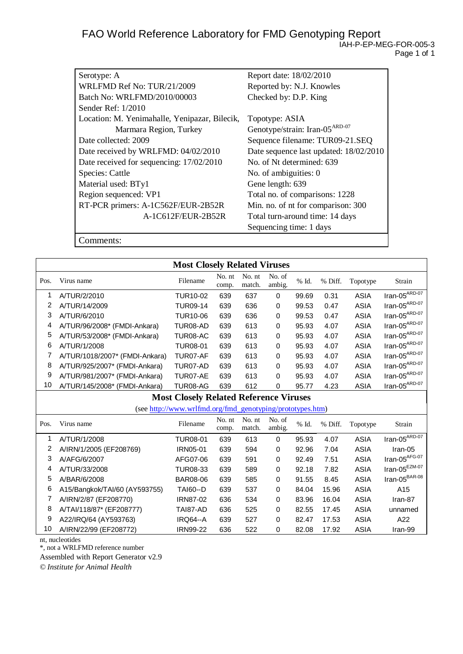| Serotype: A                                   | Report date: 18/02/2010                    |
|-----------------------------------------------|--------------------------------------------|
| WRLFMD Ref No: TUR/21/2009                    | Reported by: N.J. Knowles                  |
| Batch No: WRLFMD/2010/00003                   | Checked by: D.P. King                      |
| Sender Ref: 1/2010                            |                                            |
| Location: M. Yenimahalle, Yenipazar, Bilecik, | Topotype: ASIA                             |
| Marmara Region, Turkey                        | Genotype/strain: Iran-05 <sup>ARD-07</sup> |
| Date collected: 2009                          | Sequence filename: TUR09-21.SEQ            |
| Date received by WRLFMD: 04/02/2010           | Date sequence last updated: 18/02/2010     |
| Date received for sequencing: 17/02/2010      | No. of Nt determined: 639                  |
| Species: Cattle                               | No. of ambiguities: 0                      |
| Material used: BTy1                           | Gene length: 639                           |
| Region sequenced: VP1                         | Total no. of comparisons: 1228             |
| RT-PCR primers: A-1C562F/EUR-2B52R            | Min. no. of nt for comparison: 300         |
| A-1C612F/EUR-2B52R                            | Total turn-around time: 14 days            |
|                                               | Sequencing time: 1 days                    |

Comments:

|                                               |                                | <b>Most Closely Related Viruses</b>                       |                 |                  |                  |          |         |             |                                                    |
|-----------------------------------------------|--------------------------------|-----------------------------------------------------------|-----------------|------------------|------------------|----------|---------|-------------|----------------------------------------------------|
| Pos.                                          | Virus name                     | Filename                                                  | No. nt<br>comp. | No. nt<br>match. | No. of<br>ambig. | % Id.    | % Diff. | Topotype    | Strain                                             |
| 1                                             | A/TUR/2/2010                   | <b>TUR10-02</b>                                           | 639             | 637              | 0                | 99.69    | 0.31    | <b>ASIA</b> | $\text{Iran-05}^{\text{A}\overline{\text{RD-07}}}$ |
| $\overline{2}$                                | A/TUR/14/2009                  | <b>TUR09-14</b>                                           | 639             | 636              | 0                | 99.53    | 0.47    | <b>ASIA</b> | $\text{Iran-05}^{\text{ARD-07}}$                   |
| 3                                             | A/TUR/6/2010                   | <b>TUR10-06</b>                                           | 639             | 636              | 0                | 99.53    | 0.47    | <b>ASIA</b> | $\text{Iran-05}^{\text{ARD-07}}$                   |
| 4                                             | A/TUR/96/2008* (FMDI-Ankara)   | TUR08-AD                                                  | 639             | 613              | 0                | 95.93    | 4.07    | <b>ASIA</b> | $\text{Iran-05}^{\text{ARD-07}}$                   |
| 5                                             | A/TUR/53/2008* (FMDI-Ankara)   | TUR08-AC                                                  | 639             | 613              | 0                | 95.93    | 4.07    | <b>ASIA</b> | $\text{Iran-05}^{\text{ARD-07}}$                   |
| 6                                             | A/TUR/1/2008                   | <b>TUR08-01</b>                                           | 639             | 613              | 0                | 95.93    | 4.07    | <b>ASIA</b> | $\text{Iran-05}^{\text{ARD-07}}$                   |
| 7                                             | A/TUR/1018/2007* (FMDI-Ankara) | TUR07-AF                                                  | 639             | 613              | 0                | 95.93    | 4.07    | <b>ASIA</b> | $\text{Iran-05}^{\text{ARD-07}}$                   |
| 8                                             | A/TUR/925/2007* (FMDI-Ankara)  | TUR07-AD                                                  | 639             | 613              | 0                | 95.93    | 4.07    | <b>ASIA</b> | $\text{Iran-05}^{\text{ARD-07}}$                   |
| 9                                             | A/TUR/981/2007* (FMDI-Ankara)  | TUR07-AE                                                  | 639             | 613              | 0                | 95.93    | 4.07    | <b>ASIA</b> | $\text{Iran-05}^{\text{ARD-07}}$                   |
| 10                                            | A/TUR/145/2008* (FMDI-Ankara)  | TUR08-AG                                                  | 639             | 612              | $\mathbf 0$      | 95.77    | 4.23    | <b>ASIA</b> | $Iran-05^{ARD-07}$                                 |
| <b>Most Closely Related Reference Viruses</b> |                                |                                                           |                 |                  |                  |          |         |             |                                                    |
|                                               |                                | (see http://www.wrlfmd.org/fmd_genotyping/prototypes.htm) |                 |                  |                  |          |         |             |                                                    |
| Pos.                                          | Virus name                     | Filename                                                  | No. nt<br>comp. | No. nt<br>match. | No. of<br>ambig. | $\%$ Id. | % Diff. | Topotype    | Strain                                             |
| 1                                             | A/TUR/1/2008                   | <b>TUR08-01</b>                                           | 639             | 613              | $\mathbf 0$      | 95.93    | 4.07    | <b>ASIA</b> | $Iran-05^{ARD-07}$                                 |
| 2                                             | A/IRN/1/2005 (EF208769)        | IRN05-01                                                  | 639             | 594              | 0                | 92.96    | 7.04    | <b>ASIA</b> | Iran-05                                            |
| 3                                             | A/AFG/6/2007                   | AFG07-06                                                  | 639             | 591              | 0                | 92.49    | 7.51    | <b>ASIA</b> | $\text{Iran-05}^{\text{AFG-07}}$                   |
| 4                                             | A/TUR/33/2008                  | <b>TUR08-33</b>                                           | 639             | 589              | $\pmb{0}$        | 92.18    | 7.82    | <b>ASIA</b> | Iran-05 $^{EZM-07}$                                |
| 5                                             | A/BAR/6/2008                   | <b>BAR08-06</b>                                           | 639             | 585              | 0                | 91.55    | 8.45    | <b>ASIA</b> | $\text{Iran-05}^{\text{BAR-08}}$                   |
| 6                                             | A15/Bangkok/TAI/60 (AY593755)  | <b>TAI60--D</b>                                           | 639             | 537              | 0                | 84.04    | 15.96   | <b>ASIA</b> | A15                                                |
| 7                                             | A/IRN/2/87 (EF208770)          | <b>IRN87-02</b>                                           | 636             | 534              | 0                | 83.96    | 16.04   | <b>ASIA</b> | Iran-87                                            |
| 8                                             | A/TAI/118/87* (EF208777)       | TAI87-AD                                                  | 636             | 525              | 0                | 82.55    | 17.45   | <b>ASIA</b> | unnamed                                            |
| 9                                             | A22/IRQ/64 (AY593763)          | <b>IRQ64--A</b>                                           | 639             | 527              | 0                | 82.47    | 17.53   | <b>ASIA</b> | A22                                                |
| 10                                            | A/IRN/22/99 (EF208772)         | <b>IRN99-22</b>                                           | 636             | 522              | 0                | 82.08    | 17.92   | <b>ASIA</b> | Iran-99                                            |

nt, nucleotides

\*, not a WRLFMD reference number

Assembled with Report Generator v2.9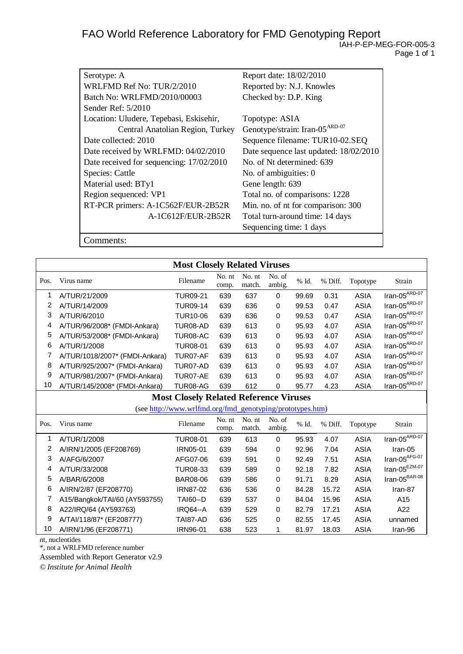| Serotype: A                              | Report date: 18/02/2010                    |
|------------------------------------------|--------------------------------------------|
| WRLFMD Ref No: TUR/2/2010                | Reported by: N.J. Knowles                  |
| Batch No: WRLFMD/2010/00003              | Checked by: D.P. King                      |
| Sender Ref: $5/2010$                     |                                            |
| Location: Uludere, Tepebasi, Eskisehir,  | Topotype: ASIA                             |
| Central Anatolian Region, Turkey         | Genotype/strain: Iran-05 <sup>ARD-07</sup> |
| Date collected: 2010                     | Sequence filename: TUR10-02.SEQ            |
| Date received by WRLFMD: 04/02/2010      | Date sequence last updated: 18/02/2010     |
| Date received for sequencing: 17/02/2010 | No. of Nt determined: 639                  |
| Species: Cattle                          | No. of ambiguities: 0                      |
| Material used: BTy1                      | Gene length: 639                           |
| Region sequenced: VP1                    | Total no. of comparisons: 1228             |
| RT-PCR primers: A-1C562F/EUR-2B52R       | Min. no. of nt for comparison: 300         |
| A-1C612F/EUR-2B52R                       | Total turn-around time: 14 days            |
|                                          | Sequencing time: 1 days                    |
|                                          |                                            |

Comments:

|      |                                               | <b>Most Closely Related Viruses</b>                       |                 |                  |                  |       |         |             |                                          |
|------|-----------------------------------------------|-----------------------------------------------------------|-----------------|------------------|------------------|-------|---------|-------------|------------------------------------------|
| Pos. | Virus name                                    | Filename                                                  | No. nt<br>comp. | No. nt<br>match. | No. of<br>ambig. | % Id. | % Diff. | Topotype    | Strain                                   |
| 1    | A/TUR/21/2009                                 | <b>TUR09-21</b>                                           | 639             | 637              | 0                | 99.69 | 0.31    | <b>ASIA</b> | $Iran-05$ <sup><math>ARD-07</math></sup> |
| 2    | A/TUR/14/2009                                 | <b>TUR09-14</b>                                           | 639             | 636              | 0                | 99.53 | 0.47    | <b>ASIA</b> | $\text{Iran-05}^{\text{ARD-07}}$         |
| 3    | A/TUR/6/2010                                  | <b>TUR10-06</b>                                           | 639             | 636              | 0                | 99.53 | 0.47    | <b>ASIA</b> | $\text{Iran-05}^{\text{ARD-07}}$         |
| 4    | A/TUR/96/2008* (FMDI-Ankara)                  | TUR08-AD                                                  | 639             | 613              | 0                | 95.93 | 4.07    | <b>ASIA</b> | Iran-05 $^{ARD-07}$                      |
| 5    | A/TUR/53/2008* (FMDI-Ankara)                  | TUR08-AC                                                  | 639             | 613              | 0                | 95.93 | 4.07    | <b>ASIA</b> | $\text{Iran-05}^{\text{ARD-07}}$         |
| 6    | A/TUR/1/2008                                  | <b>TUR08-01</b>                                           | 639             | 613              | 0                | 95.93 | 4.07    | <b>ASIA</b> | $\text{Iran-05}^{\text{ARD-07}}$         |
| 7    | A/TUR/1018/2007* (FMDI-Ankara)                | TUR07-AF                                                  | 639             | 613              | 0                | 95.93 | 4.07    | <b>ASIA</b> | Iran-05 $^{ARD-07}$                      |
| 8    | A/TUR/925/2007* (FMDI-Ankara)                 | TUR07-AD                                                  | 639             | 613              | 0                | 95.93 | 4.07    | <b>ASIA</b> | $\text{Iran-05}^{\text{ARD-07}}$         |
| 9    | A/TUR/981/2007* (FMDI-Ankara)                 | TUR07-AE                                                  | 639             | 613              | 0                | 95.93 | 4.07    | <b>ASIA</b> | $\text{Iran-05}^{\text{ARD-07}}$         |
| 10   | A/TUR/145/2008* (FMDI-Ankara)                 | TUR08-AG                                                  | 639             | 612              | 0                | 95.77 | 4.23    | <b>ASIA</b> | $Iran-05$ <sup>ARD-07</sup>              |
|      | <b>Most Closely Related Reference Viruses</b> |                                                           |                 |                  |                  |       |         |             |                                          |
|      |                                               | (see http://www.wrlfmd.org/fmd_genotyping/prototypes.htm) |                 |                  |                  |       |         |             |                                          |
| Pos. | Virus name                                    | Filename                                                  | No. nt<br>comp. | No. nt<br>match. | No. of<br>ambig. | % Id. | % Diff. | Topotype    | Strain                                   |
| 1    | A/TUR/1/2008                                  | <b>TUR08-01</b>                                           | 639             | 613              | 0                | 95.93 | 4.07    | <b>ASIA</b> | $Iran-05^{ARD-07}$                       |
| 2    | A/IRN/1/2005 (EF208769)                       | IRN05-01                                                  | 639             | 594              | 0                | 92.96 | 7.04    | <b>ASIA</b> | Iran-05                                  |
| 3    | A/AFG/6/2007                                  | AFG07-06                                                  | 639             | 591              | 0                | 92.49 | 7.51    | <b>ASIA</b> | Iran-05 $AFG-07$                         |
| 4    | A/TUR/33/2008                                 | <b>TUR08-33</b>                                           | 639             | 589              | 0                | 92.18 | 7.82    | <b>ASIA</b> | Iran-05 $^{EZM-07}$                      |
| 5    | A/BAR/6/2008                                  | <b>BAR08-06</b>                                           | 639             | 586              | 0                | 91.71 | 8.29    | <b>ASIA</b> | $\text{Iran-05}^{\text{BAR-08}}$         |
| 6    | A/IRN/2/87 (EF208770)                         | <b>IRN87-02</b>                                           | 636             | 536              | 0                | 84.28 | 15.72   | <b>ASIA</b> | Iran-87                                  |
| 7    | A15/Bangkok/TAI/60 (AY593755)                 | <b>TAI60--D</b>                                           | 639             | 537              | 0                | 84.04 | 15.96   | <b>ASIA</b> | A15                                      |
| 8    | A22/IRQ/64 (AY593763)                         | <b>IRQ64--A</b>                                           | 639             | 529              | 0                | 82.79 | 17.21   | <b>ASIA</b> | A22                                      |
| 9    | A/TAI/118/87* (EF208777)                      | TAI87-AD                                                  | 636             | 525              | 0                | 82.55 | 17.45   | <b>ASIA</b> | unnamed                                  |
| 10   | A/IRN/1/96 (EF208771)                         | <b>IRN96-01</b>                                           | 638             | 523              | 1                | 81.97 | 18.03   | <b>ASIA</b> | Iran-96                                  |

nt, nucleotides

\*, not a WRLFMD reference number

Assembled with Report Generator v2.9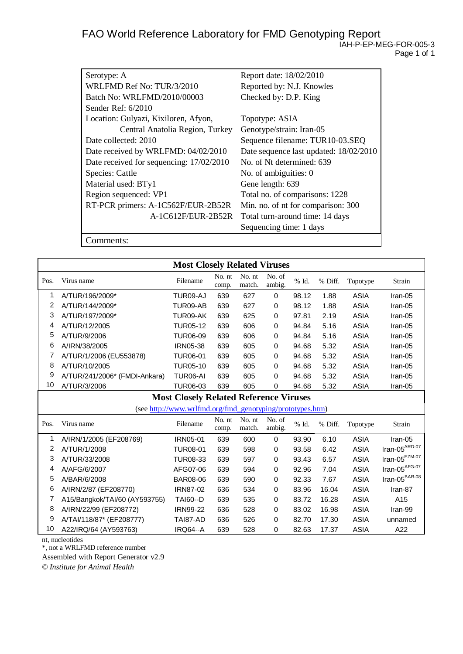| Serotype: A                              | Report date: 18/02/2010                |
|------------------------------------------|----------------------------------------|
| WRLFMD Ref No: TUR/3/2010                | Reported by: N.J. Knowles              |
| Batch No: WRLFMD/2010/00003              | Checked by: D.P. King                  |
| Sender Ref: $6/2010$                     |                                        |
| Location: Gulyazi, Kixiloren, Afyon,     | Topotype: ASIA                         |
| Central Anatolia Region, Turkey          | Genotype/strain: Iran-05               |
| Date collected: 2010                     | Sequence filename: TUR10-03.SEQ        |
| Date received by WRLFMD: 04/02/2010      | Date sequence last updated: 18/02/2010 |
| Date received for sequencing: 17/02/2010 | No. of Nt determined: 639              |
| Species: Cattle                          | No. of ambiguities: 0                  |
| Material used: BTy1                      | Gene length: 639                       |
| Region sequenced: VP1                    | Total no. of comparisons: 1228         |
| RT-PCR primers: A-1C562F/EUR-2B52R       | Min. no. of nt for comparison: 300     |
| A-1C612F/EUR-2B52R                       | Total turn-around time: 14 days        |
|                                          | Sequencing time: 1 days                |
| :omments:                                |                                        |

**Most Closely Related Viruses** Pos. Virus name No. nt comp. No. nt match. No. of ambig. % Id. % Diff. Topotype Strain 1 A/TUR/196/2009\* TUR09-AJ 639 627 0 98.12 1.88 ASIA Iran-05 2 A/TUR/144/2009\* TUR09-AB 639 627 0 98.12 1.88 ASIA Iran-05 3 A/TUR/197/2009\* TUR09-AK 639 625 0 97.81 2.19 ASIA Iran-05 4 A/TUR/12/2005 TUR05-12 639 606 0 94.84 5.16 ASIA Iran-05 5 A/TUR/9/2006 TUR06-09 639 606 0 94.84 5.16 ASIA Iran-05 6 A/IRN/38/2005 IRN05-38 639 605 0 94.68 5.32 ASIA Iran-05 7 A/TUR/1/2006 (EU553878) TUR06-01 639 605 0 94.68 5.32 ASIA Iran-05

| 8                                             | A/TUR/10/2005                                             | <b>TUR05-10</b> | 639             | 605              | 0                | 94.68 | 5.32    | <b>ASIA</b> | Iran-05                          |  |
|-----------------------------------------------|-----------------------------------------------------------|-----------------|-----------------|------------------|------------------|-------|---------|-------------|----------------------------------|--|
| 9                                             | A/TUR/241/2006* (FMDI-Ankara)                             | TUR06-AI        | 639             | 605              | 0                | 94.68 | 5.32    | <b>ASIA</b> | Iran-05                          |  |
| 10                                            | A/TUR/3/2006                                              | <b>TUR06-03</b> | 639             | 605              | 0                | 94.68 | 5.32    | <b>ASIA</b> | Iran-05                          |  |
| <b>Most Closely Related Reference Viruses</b> |                                                           |                 |                 |                  |                  |       |         |             |                                  |  |
|                                               | (see http://www.wrlfmd.org/fmd_genotyping/prototypes.htm) |                 |                 |                  |                  |       |         |             |                                  |  |
| Pos.                                          | Virus name                                                | Filename        | No. nt<br>comp. | No. nt<br>match. | No. of<br>ambig. | % Id. | % Diff. | Topotype    | Strain                           |  |
|                                               | A/IRN/1/2005 (EF208769)                                   | IRN05-01        | 639             | 600              | 0                | 93.90 | 6.10    | <b>ASIA</b> | Iran-05                          |  |
| 2                                             | A/TUR/1/2008                                              | TUR08-01        | 639             | 598              | 0                | 93.58 | 6.42    | ASIA        | $\text{Iran-05}^{\text{ARD-07}}$ |  |
| 3                                             | A/TUR/33/2008                                             | <b>TUR08-33</b> | 639             | 597              | $\Omega$         | 93.43 | 6.57    | <b>ASIA</b> | $\text{Iran-05}^{\text{EZM-07}}$ |  |
| 4                                             | A/AFG/6/2007                                              | AFG07-06        | 639             | 594              | 0                | 92.96 | 7.04    | ASIA        | $\text{Iran-05}^{\text{AFG-07}}$ |  |
| 5                                             | A/BAR/6/2008                                              | <b>BAR08-06</b> | 639             | 590              | 0                | 92.33 | 7.67    | ASIA        | $\text{Iran-05}^{\text{BAR-08}}$ |  |
| 6                                             | A/IRN/2/87 (EF208770)                                     | IRN87-02        | 636             | 534              | 0                | 83.96 | 16.04   | <b>ASIA</b> | Iran-87                          |  |
|                                               | A15/Bangkok/TAI/60 (AY593755)                             | TAI60--D        | 639             | 535              | 0                | 83.72 | 16.28   | <b>ASIA</b> | A15                              |  |
| 8                                             | A/IRN/22/99 (EF208772)                                    | IRN99-22        | 636             | 528              | 0                | 83.02 | 16.98   | <b>ASIA</b> | Iran-99                          |  |
| 9                                             | A/TAI/118/87* (EF208777)                                  | TAI87-AD        | 636             | 526              | $\Omega$         | 82.70 | 17.30   | <b>ASIA</b> | unnamed                          |  |
| 10                                            | A22/IRQ/64 (AY593763)                                     | IRQ64--A        | 639             | 528              | 0                | 82.63 | 17.37   | <b>ASIA</b> | A22                              |  |

nt, nucleotides

\*, not a WRLFMD reference number

Assembled with Report Generator v2.9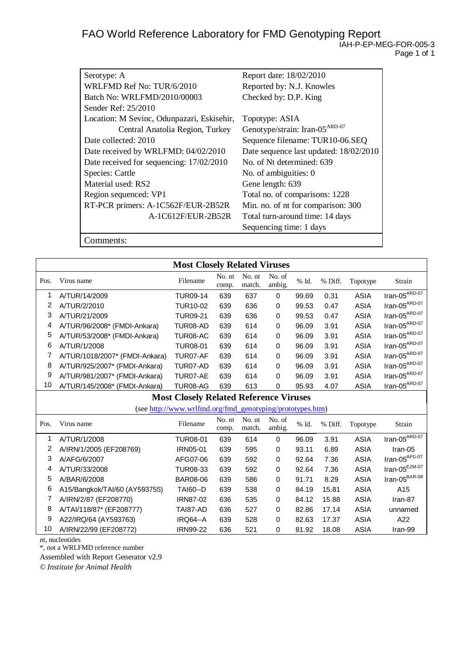| Serotype: A                                | Report date: 18/02/2010                    |
|--------------------------------------------|--------------------------------------------|
| WRLFMD Ref No: TUR/6/2010                  | Reported by: N.J. Knowles                  |
| Batch No: WRLFMD/2010/00003                | Checked by: D.P. King                      |
| Sender Ref: 25/2010                        |                                            |
| Location: M Sevinc, Odunpazari, Eskisehir, | Topotype: ASIA                             |
| Central Anatolia Region, Turkey            | Genotype/strain: Iran-05 <sup>ARD-07</sup> |
| Date collected: 2010                       | Sequence filename: TUR10-06.SEQ            |
| Date received by WRLFMD: 04/02/2010        | Date sequence last updated: 18/02/2010     |
| Date received for sequencing: 17/02/2010   | No. of Nt determined: 639                  |
| Species: Cattle                            | No. of ambiguities: 0                      |
| Material used: RS2                         | Gene length: 639                           |
| Region sequenced: VP1                      | Total no. of comparisons: 1228             |
| RT-PCR primers: A-1C562F/EUR-2B52R         | Min. no. of nt for comparison: 300         |
| A-1C612F/EUR-2B52R                         | Total turn-around time: 14 days            |
|                                            | Sequencing time: 1 days                    |

Comments:

| <b>Most Closely Related Viruses</b>                       |                                |                 |                 |                  |                  |       |         |             |                                          |
|-----------------------------------------------------------|--------------------------------|-----------------|-----------------|------------------|------------------|-------|---------|-------------|------------------------------------------|
| Pos.                                                      | Virus name                     | Filename        | No. nt<br>comp. | No. nt<br>match. | No. of<br>ambig. | % Id. | % Diff. | Topotype    | Strain                                   |
| 1                                                         | A/TUR/14/2009                  | <b>TUR09-14</b> | 639             | 637              | 0                | 99.69 | 0.31    | <b>ASIA</b> | $\text{Iran-05}^{\text{ARD-07}}$         |
| 2                                                         | A/TUR/2/2010                   | <b>TUR10-02</b> | 639             | 636              | 0                | 99.53 | 0.47    | <b>ASIA</b> | $\text{Iran-05}^{\text{ARD-07}}$         |
| 3                                                         | A/TUR/21/2009                  | <b>TUR09-21</b> | 639             | 636              | 0                | 99.53 | 0.47    | <b>ASIA</b> | $\text{Iran-05}^{\text{ARD-07}}$         |
| 4                                                         | A/TUR/96/2008* (FMDI-Ankara)   | TUR08-AD        | 639             | 614              | 0                | 96.09 | 3.91    | <b>ASIA</b> | Iran-05 $^{ARD-07}$                      |
| 5                                                         | A/TUR/53/2008* (FMDI-Ankara)   | TUR08-AC        | 639             | 614              | 0                | 96.09 | 3.91    | <b>ASIA</b> | $\text{Iran-05}^{\text{ARD-07}}$         |
| 6                                                         | A/TUR/1/2008                   | <b>TUR08-01</b> | 639             | 614              | 0                | 96.09 | 3.91    | <b>ASIA</b> | Iran-05 $^{ARD-07}$                      |
| 7                                                         | A/TUR/1018/2007* (FMDI-Ankara) | TUR07-AF        | 639             | 614              | 0                | 96.09 | 3.91    | <b>ASIA</b> | Iran-05 $^{ARD-07}$                      |
| 8                                                         | A/TUR/925/2007* (FMDI-Ankara)  | TUR07-AD        | 639             | 614              | 0                | 96.09 | 3.91    | <b>ASIA</b> | $\text{Iran-05}^{\text{ARD-07}}$         |
| 9                                                         | A/TUR/981/2007* (FMDI-Ankara)  | TUR07-AE        | 639             | 614              | 0                | 96.09 | 3.91    | <b>ASIA</b> | $\text{Iran-05}^{\text{ARD-07}}$         |
| 10                                                        | A/TUR/145/2008* (FMDI-Ankara)  | TUR08-AG        | 639             | 613              | 0                | 95.93 | 4.07    | <b>ASIA</b> | $Iran-05^{ARD-07}$                       |
| <b>Most Closely Related Reference Viruses</b>             |                                |                 |                 |                  |                  |       |         |             |                                          |
| (see http://www.wrlfmd.org/fmd_genotyping/prototypes.htm) |                                |                 |                 |                  |                  |       |         |             |                                          |
| Pos.                                                      | Virus name                     | Filename        | No. nt<br>comp. | No. nt<br>match. | No. of<br>ambig. | % Id. | % Diff. | Topotype    | Strain                                   |
| 1                                                         | A/TUR/1/2008                   | <b>TUR08-01</b> | 639             | 614              | 0                | 96.09 | 3.91    | <b>ASIA</b> | $Iran-05$ <sup><math>ARD-07</math></sup> |
| $\overline{2}$                                            | A/IRN/1/2005 (EF208769)        | IRN05-01        | 639             | 595              | 0                | 93.11 | 6.89    | <b>ASIA</b> | Iran-05                                  |
| 3                                                         | A/AFG/6/2007                   | AFG07-06        | 639             | 592              | 0                | 92.64 | 7.36    | <b>ASIA</b> | $\text{Iran-05}^{\text{AFG-07}}$         |
| 4                                                         | A/TUR/33/2008                  | <b>TUR08-33</b> | 639             | 592              | 0                | 92.64 | 7.36    | <b>ASIA</b> | Iran-05 $^{EZM-07}$                      |
| 5                                                         | A/BAR/6/2008                   | <b>BAR08-06</b> | 639             | 586              | 0                | 91.71 | 8.29    | <b>ASIA</b> | $\text{Iran-05}^{\text{BAR-08}}$         |
| 6                                                         | A15/Bangkok/TAI/60 (AY593755)  | <b>TAI60--D</b> | 639             | 538              | 0                | 84.19 | 15.81   | <b>ASIA</b> | A15                                      |
| 7                                                         | A/IRN/2/87 (EF208770)          | <b>IRN87-02</b> | 636             | 535              | 0                | 84.12 | 15.88   | <b>ASIA</b> | Iran-87                                  |
| 8                                                         | A/TAI/118/87* (EF208777)       | TAI87-AD        | 636             | 527              | 0                | 82.86 | 17.14   | <b>ASIA</b> | unnamed                                  |
| 9                                                         | A22/IRQ/64 (AY593763)          | <b>IRQ64--A</b> | 639             | 528              | 0                | 82.63 | 17.37   | <b>ASIA</b> | A22                                      |
| 10                                                        | A/IRN/22/99 (EF208772)         | <b>IRN99-22</b> | 636             | 521              | 0                | 81.92 | 18.08   | <b>ASIA</b> | Iran-99                                  |

nt, nucleotides

\*, not a WRLFMD reference number

Assembled with Report Generator v2.9